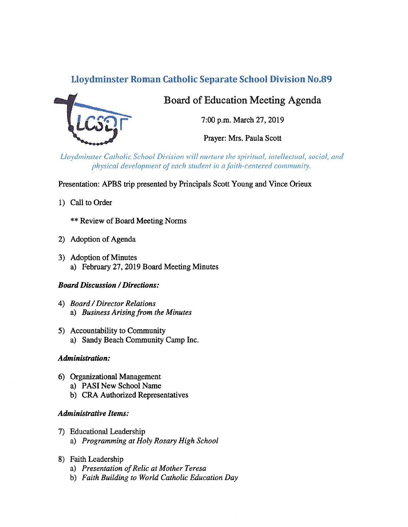# Lloydminster Roman Catholic Separate School Division No.89



Board of Education Meeting Agenda

7:00 p.m. March 27, 2019

Prayer: Mrs. Paula Scott

Lloydminster Catholic School Division will nurture the spiritual, intellectual, social, and physical development of each student in a faith-centered community.

Presentation: APBS trip presented by Principals Scott Young and Vince Orieux

1) Call to Order

\*\* Review of Board Meeting Norms

- 2) Adoption of Agenda
- 3) Adoption of Minutes a) February 27, 2019 Board Meeting Minutes

## Board Discussion /Directions:

- 4) Board/Director Relations a) Business Arising from the Minutes
- 5) Accountability to Community a) Sandy Beach Community Camp Inc.

## Administration:

- 6) Organizational Management
	- a) PASI New School Name
	- b) CRA Authorized Representatives

## Administrative Items:

- 7) Educational Leadership
	- a) Programming at Holy Rosary High School
- 8) faith Leadership
	- a) Presentation of Relic at Mother Teresa
	- b) Faith Building to World Catholic Education Day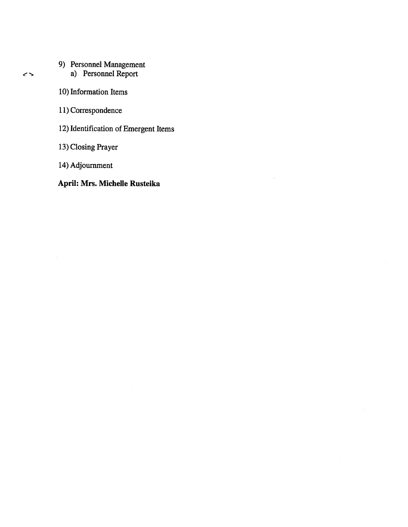- 9) Personnel Management
	- a) Personnel Report
- 10) Information Items
- 11) Correspondence
- 12) Identification of Emergent Items
- 13) Closing Prayer
- 14) Adjournment

## April: Mrs. Michelle Rusteika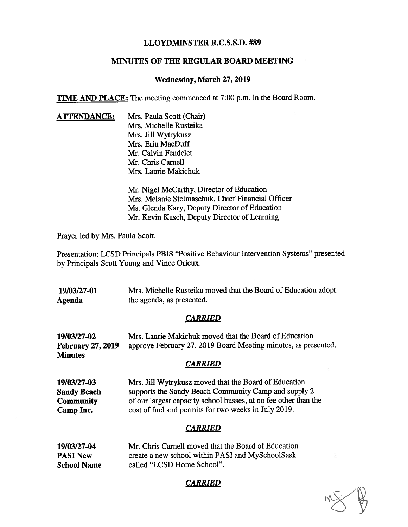#### LLOYDMINSTER R.C.S.S.D. #89

#### MINUTES OF THE REGULAR BOARD MEETING

#### Wednesday, March 27, 2019

TIME AND PLACE: The meeting commenced at 7:00 p.m. in the Board Room.

**ATTENDANCE:** Mrs. Paula Scott (Chair) Mrs. Michelle Rusteika Mrs. Jill Wytrykusz Mrs. Erin MacDuff Mr. Calvin Fendelet Mr. Chris Carnell Mrs. Laurie Makichuk

> Mr. Nigel McCarthy, Director of Education Mrs. Melanie Stelmaschuk, Chief Financial Officer Ms. Glenda Kary, Deputy Director of Education Mr. Kevin Kusch, Deputy Director of Learning

Prayer led by Mrs. Paula Scott.

Presentation: LC\$D Principals PBIS "Positive Behaviour Intervention Systems" presented by Principals Scott Young and Vince Orieux.

19/03/27-01 Mrs. Michelle Rusteika moved that the Board of Education adopt Agenda the agenda, as presented.

#### **CARRIED**

| 19/03/27-02              | Mrs. Laurie Makichuk moved that the Board of Education         |
|--------------------------|----------------------------------------------------------------|
| <b>February 27, 2019</b> | approve February 27, 2019 Board Meeting minutes, as presented. |
| <b>Minutes</b>           |                                                                |

#### **CARRIED**

19/03/27-03 Mrs. Jill Wytrykusz moved that the Board of Education Sandy Beach supports the Sandy Beach Community Camp and supply 2 Community of our largest capacity school busses, at no fee other than the Camp Inc. cost of fuel and permits for two weeks in July 2019.

#### CARRIED

| 19/03/27-04        | Mr. Chris Carnell moved that the Board of Education |
|--------------------|-----------------------------------------------------|
| <b>PASI New</b>    | create a new school within PASI and MySchoolSask    |
| <b>School Name</b> | called "LCSD Home School".                          |

**CARRIED**